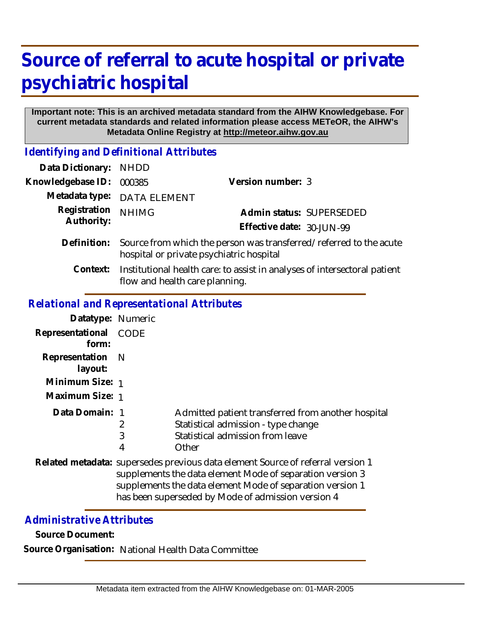# **Source of referral to acute hospital or private psychiatric hospital**

#### **Important note: This is an archived metadata standard from the AIHW Knowledgebase. For current metadata standards and related information please access METeOR, the AIHW's Metadata Online Registry at http://meteor.aihw.gov.au**

*Identifying and Definitional Attributes*

| Data Dictionary:           | <b>NHDD</b>                                                                                                    |                           |                          |
|----------------------------|----------------------------------------------------------------------------------------------------------------|---------------------------|--------------------------|
| Knowledgebase ID:          | 000385                                                                                                         | Version number: 3         |                          |
| Metadata type:             | <b>DATA ELEMENT</b>                                                                                            |                           |                          |
| Registration<br>Authority: | <b>NHIMG</b>                                                                                                   |                           | Admin status: SUPERSEDED |
|                            |                                                                                                                | Effective date: 30-JUN-99 |                          |
| Definition:                | Source from which the person was transferred/referred to the acute<br>hospital or private psychiatric hospital |                           |                          |
| Context:                   | Institutional health care: to assist in analyses of intersectoral patient<br>flow and health care planning.    |                           |                          |

#### *Relational and Representational Attributes*

| Datatype: Numeric           |                                                                                                                                              |                                                                                                                                        |  |
|-----------------------------|----------------------------------------------------------------------------------------------------------------------------------------------|----------------------------------------------------------------------------------------------------------------------------------------|--|
| Representational<br>form:   | <b>CODE</b>                                                                                                                                  |                                                                                                                                        |  |
| Representation N<br>layout: |                                                                                                                                              |                                                                                                                                        |  |
| Minimum Size: 1             |                                                                                                                                              |                                                                                                                                        |  |
| Maximum Size: 1             |                                                                                                                                              |                                                                                                                                        |  |
| Data Domain: 1              | 2<br>3<br>4                                                                                                                                  | Admitted patient transferred from another hospital<br>Statistical admission - type change<br>Statistical admission from leave<br>Other |  |
|                             | Related metadata: supersedes previous data element Source of referral version 1<br>supplements the data element Mode of separation version 3 |                                                                                                                                        |  |

#### supplements the data element Mode of separation version 1 has been superseded by Mode of admission version 4

### *Administrative Attributes*

**Source Document:**

**Source Organisation:** National Health Data Committee